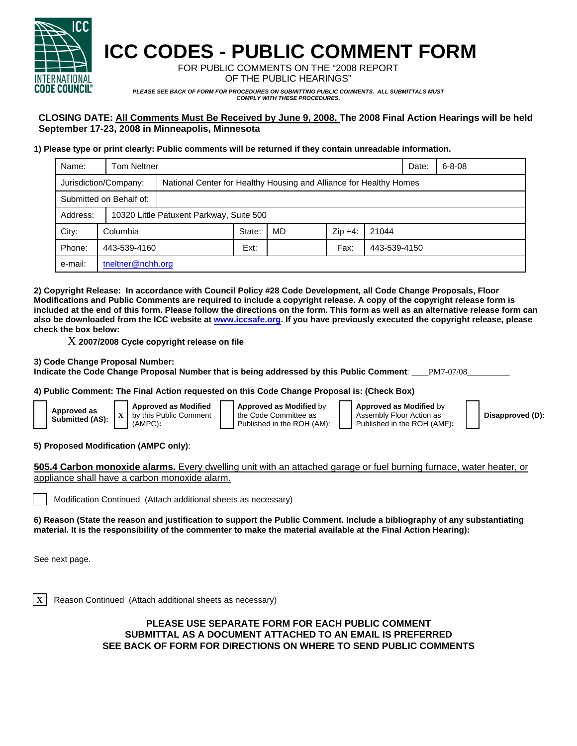

# **ICC CODES - PUBLIC COMMENT FORM**

FOR PUBLIC COMMENTS ON THE "2008 REPORT OF THE PUBLIC HEARINGS"

*PLEASE SEE BACK OF FORM FOR PROCEDURES ON SUBMITTING PUBLIC COMMENTS. ALL SUBMITTALS MUST COMPLY WITH THESE PROCEDURES.* 

## **CLOSING DATE: All Comments Must Be Received by June 9, 2008. The 2008 Final Action Hearings will be held September 17-23, 2008 in Minneapolis, Minnesota**

#### **1) Please type or print clearly: Public comments will be returned if they contain unreadable information.**

| Name:                   | <b>Tom Neltner</b>    |                                                                    |        |    |           |              |  | $6 - 8 - 08$ |  |
|-------------------------|-----------------------|--------------------------------------------------------------------|--------|----|-----------|--------------|--|--------------|--|
|                         | Jurisdiction/Company: | National Center for Healthy Housing and Alliance for Healthy Homes |        |    |           |              |  |              |  |
| Submitted on Behalf of: |                       |                                                                    |        |    |           |              |  |              |  |
| Address:                |                       | 10320 Little Patuxent Parkway, Suite 500                           |        |    |           |              |  |              |  |
| City:                   | Columbia              |                                                                    | State: | MD | $Zip +4:$ | 21044        |  |              |  |
| Phone:                  | 443-539-4160          |                                                                    | Ext:   |    | Fax:      | 443-539-4150 |  |              |  |
| e-mail:                 | the ther@nchh.org     |                                                                    |        |    |           |              |  |              |  |

**2) Copyright Release: In accordance with Council Policy #28 Code Development, all Code Change Proposals, Floor Modifications and Public Comments are required to include a copyright release. A copy of the copyright release form is included at the end of this form. Please follow the directions on the form. This form as well as an alternative release form can also be downloaded from the ICC website at www.iccsafe.org. If you have previously executed the copyright release, please check the box below:** 

X **2007/2008 Cycle copyright release on file** 

#### **3) Code Change Proposal Number:**

**Indicate the Code Change Proposal Number that is being addressed by this Public Comment**: \_\_\_\_PM7-07/08\_\_\_\_\_\_\_\_\_\_

#### **4) Public Comment: The Final Action requested on this Code Change Proposal is: (Check Box)**

| Approved as            |  | <b>Approved as Modified</b> |    |
|------------------------|--|-----------------------------|----|
| <b>Submitted (AS):</b> |  | by this Public Comment      | th |
|                        |  | $(AMPC)$ :                  |    |

**Approved as Modified** by e Code Committee as ublished in the ROH (AM): **Approved as Modified** by Assembly Floor Action as Published in the ROH (AMF)**:** 

**Disapproved (D):**

**5) Proposed Modification (AMPC only)**:

**505.4 Carbon monoxide alarms.** Every dwelling unit with an attached garage or fuel burning furnace, water heater, or appliance shall have a carbon monoxide alarm.

Modification Continued (Attach additional sheets as necessary)

**6) Reason (State the reason and justification to support the Public Comment. Include a bibliography of any substantiating material. It is the responsibility of the commenter to make the material available at the Final Action Hearing):**

See next page.

**X** Reason Continued (Attach additional sheets as necessary)

### **PLEASE USE SEPARATE FORM FOR EACH PUBLIC COMMENT SUBMITTAL AS A DOCUMENT ATTACHED TO AN EMAIL IS PREFERRED SEE BACK OF FORM FOR DIRECTIONS ON WHERE TO SEND PUBLIC COMMENTS**